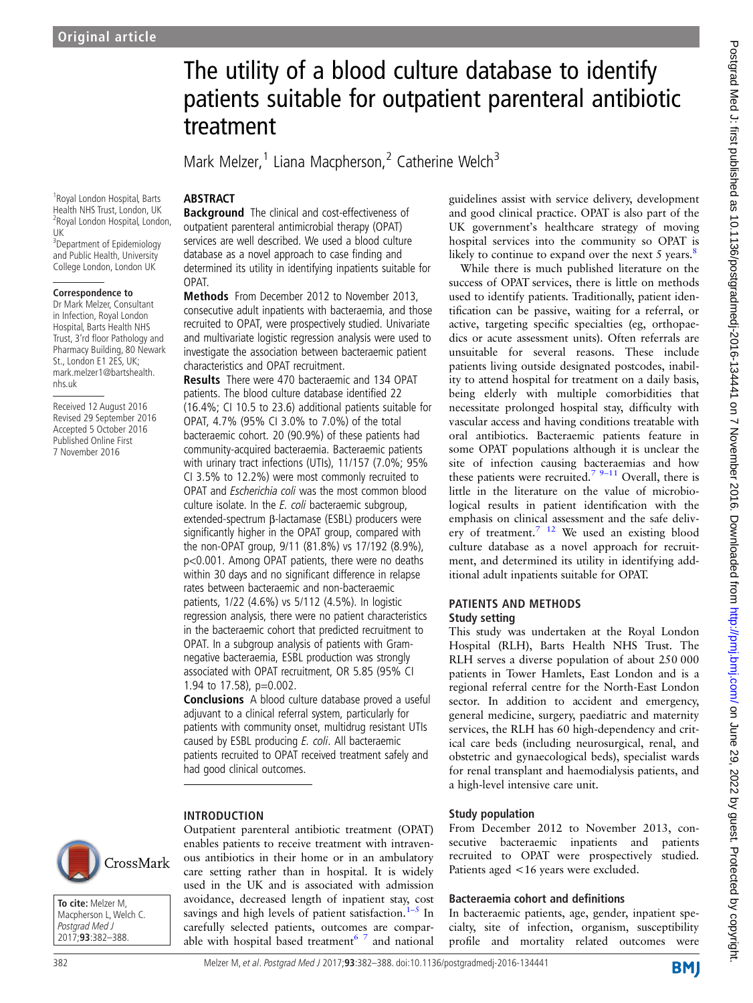# The utility of a blood culture database to identify patients suitable for outpatient parenteral antibiotic treatment

Mark Melzer,<sup>1</sup> Liana Macpherson,<sup>2</sup> Catherine Welch<sup>3</sup>

1 Royal London Hospital, Barts Health NHS Trust, London, UK 2 Royal London Hospital, London, UK

**ARSTRACT** 

3 Department of Epidemiology and Public Health, University College London, London UK

#### **Correspondence to**

Dr Mark Melzer, Consultant in Infection, Royal London Hospital, Barts Health NHS Trust, 3'rd floor Pathology and Pharmacy Building, 80 Newark St., London E1 2ES, UK; mark.melzer1@bartshealth. nhs.uk

Received 12 August 2016 Revised 29 September 2016 Accepted 5 October 2016 Published Online First 7 November 2016

Background The clinical and cost-effectiveness of outpatient parenteral antimicrobial therapy (OPAT) services are well described. We used a blood culture database as a novel approach to case finding and determined its utility in identifying inpatients suitable for OPAT.

Methods From December 2012 to November 2013, consecutive adult inpatients with bacteraemia, and those recruited to OPAT, were prospectively studied. Univariate and multivariate logistic regression analysis were used to investigate the association between bacteraemic patient characteristics and OPAT recruitment.

Results There were 470 bacteraemic and 134 OPAT patients. The blood culture database identified 22 (16.4%; CI 10.5 to 23.6) additional patients suitable for OPAT, 4.7% (95% CI 3.0% to 7.0%) of the total bacteraemic cohort. 20 (90.9%) of these patients had community-acquired bacteraemia. Bacteraemic patients with urinary tract infections (UTIs), 11/157 (7.0%; 95% CI 3.5% to 12.2%) were most commonly recruited to OPAT and Escherichia coli was the most common blood culture isolate. In the E. coli bacteraemic subgroup, extended-spectrum β-lactamase (ESBL) producers were significantly higher in the OPAT group, compared with the non-OPAT group, 9/11 (81.8%) vs 17/192 (8.9%), p<0.001. Among OPAT patients, there were no deaths within 30 days and no significant difference in relapse rates between bacteraemic and non-bacteraemic patients, 1/22 (4.6%) vs 5/112 (4.5%). In logistic regression analysis, there were no patient characteristics in the bacteraemic cohort that predicted recruitment to OPAT. In a subgroup analysis of patients with Gramnegative bacteraemia, ESBL production was strongly associated with OPAT recruitment, OR 5.85 (95% CI 1.94 to 17.58), p=0.002.

Conclusions A blood culture database proved a useful adjuvant to a clinical referral system, particularly for patients with community onset, multidrug resistant UTIs caused by ESBL producing E. coli. All bacteraemic patients recruited to OPAT received treatment safely and had good clinical outcomes.

#### INTRODUCTION



**To cite:** Melzer M, Macpherson L, Welch C. Postgrad Med J 2017;**93**:382–388.

Outpatient parenteral antibiotic treatment (OPAT) enables patients to receive treatment with intravenous antibiotics in their home or in an ambulatory care setting rather than in hospital. It is widely used in the UK and is associated with admission avoidance, decreased length of inpatient stay, cost savings and high levels of patient satisfaction. $1-5$  In carefully selected patients, outcomes are comparable with hospital based treatment<sup>6  $7$ </sup> and national

guidelines assist with service delivery, development and good clinical practice. OPAT is also part of the UK government's healthcare strategy of moving hospital services into the community so OPAT is likely to continue to expand over the next 5 years. $8$ 

While there is much published literature on the success of OPAT services, there is little on methods used to identify patients. Traditionally, patient identification can be passive, waiting for a referral, or active, targeting specific specialties (eg, orthopaedics or acute assessment units). Often referrals are unsuitable for several reasons. These include patients living outside designated postcodes, inability to attend hospital for treatment on a daily basis, being elderly with multiple comorbidities that necessitate prolonged hospital stay, difficulty with vascular access and having conditions treatable with oral antibiotics. Bacteraemic patients feature in some OPAT populations although it is unclear the site of infection causing bacteraemias and how these patients were recruited.<sup>[7](#page-6-0) 9–[11](#page-6-0)</sup> Overall, there is little in the literature on the value of microbiological results in patient identification with the emphasis on clinical assessment and the safe delivery of treatment.<sup>7</sup> <sup>12</sup> We used an existing blood culture database as a novel approach for recruitment, and determined its utility in identifying additional adult inpatients suitable for OPAT.

#### PATIENTS AND METHODS Study setting

This study was undertaken at the Royal London Hospital (RLH), Barts Health NHS Trust. The RLH serves a diverse population of about 250 000 patients in Tower Hamlets, East London and is a regional referral centre for the North-East London sector. In addition to accident and emergency, general medicine, surgery, paediatric and maternity services, the RLH has 60 high-dependency and critical care beds (including neurosurgical, renal, and obstetric and gynaecological beds), specialist wards for renal transplant and haemodialysis patients, and a high-level intensive care unit.

## Study population

From December 2012 to November 2013, consecutive bacteraemic inpatients and patients recruited to OPAT were prospectively studied. Patients aged <16 years were excluded.

## Bacteraemia cohort and definitions

In bacteraemic patients, age, gender, inpatient specialty, site of infection, organism, susceptibility profile and mortality related outcomes were

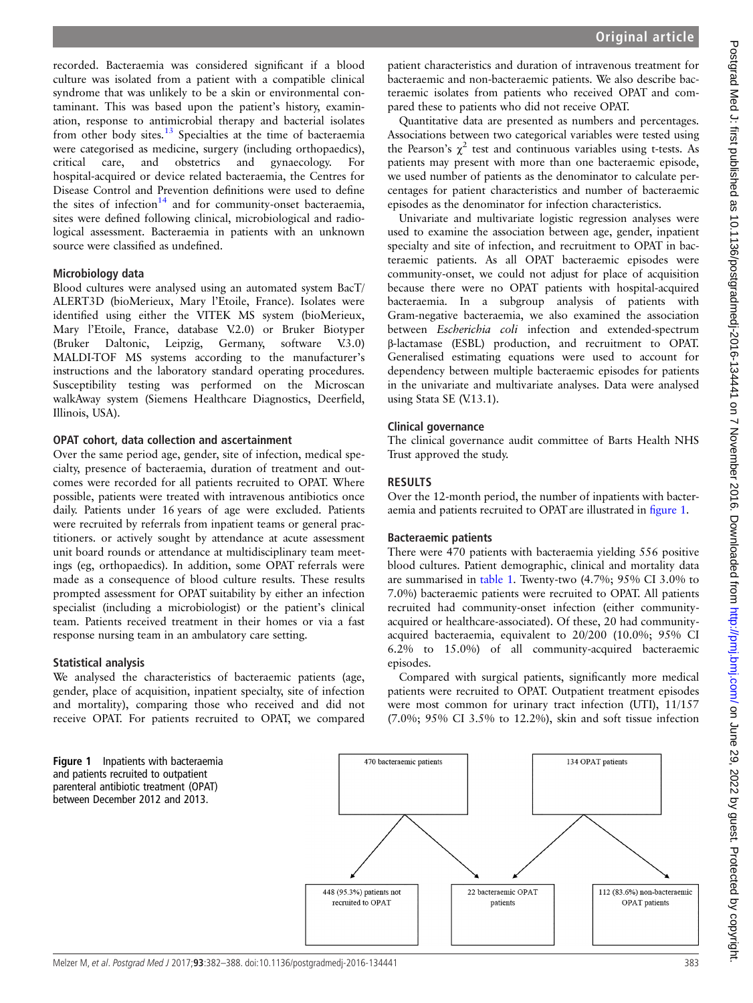recorded. Bacteraemia was considered significant if a blood culture was isolated from a patient with a compatible clinical syndrome that was unlikely to be a skin or environmental contaminant. This was based upon the patient's history, examination, response to antimicrobial therapy and bacterial isolates from other body sites.<sup>[13](#page-6-0)</sup> Specialties at the time of bacteraemia were categorised as medicine, surgery (including orthopaedics), critical care, and obstetrics and gynaecology. For hospital-acquired or device related bacteraemia, the Centres for Disease Control and Prevention definitions were used to define the sites of infection<sup>[14](#page-6-0)</sup> and for community-onset bacteraemia, sites were defined following clinical, microbiological and radiological assessment. Bacteraemia in patients with an unknown source were classified as undefined.

### Microbiology data

Blood cultures were analysed using an automated system BacT/ ALERT3D (bioMerieux, Mary l'Etoile, France). Isolates were identified using either the VITEK MS system (bioMerieux, Mary l'Etoile, France, database V.2.0) or Bruker Biotyper (Bruker Daltonic, Leipzig, Germany, software V.3.0) MALDI-TOF MS systems according to the manufacturer's instructions and the laboratory standard operating procedures. Susceptibility testing was performed on the Microscan walkAway system (Siemens Healthcare Diagnostics, Deerfield, Illinois, USA).

### OPAT cohort, data collection and ascertainment

Over the same period age, gender, site of infection, medical specialty, presence of bacteraemia, duration of treatment and outcomes were recorded for all patients recruited to OPAT. Where possible, patients were treated with intravenous antibiotics once daily. Patients under 16 years of age were excluded. Patients were recruited by referrals from inpatient teams or general practitioners. or actively sought by attendance at acute assessment unit board rounds or attendance at multidisciplinary team meetings (eg, orthopaedics). In addition, some OPAT referrals were made as a consequence of blood culture results. These results prompted assessment for OPAT suitability by either an infection specialist (including a microbiologist) or the patient's clinical team. Patients received treatment in their homes or via a fast response nursing team in an ambulatory care setting.

## Statistical analysis

We analysed the characteristics of bacteraemic patients (age, gender, place of acquisition, inpatient specialty, site of infection and mortality), comparing those who received and did not receive OPAT. For patients recruited to OPAT, we compared

patient characteristics and duration of intravenous treatment for bacteraemic and non-bacteraemic patients. We also describe bacteraemic isolates from patients who received OPAT and compared these to patients who did not receive OPAT.

Quantitative data are presented as numbers and percentages. Associations between two categorical variables were tested using the Pearson's  $\chi^2$  test and continuous variables using t-tests. As patients may present with more than one bacteraemic episode, we used number of patients as the denominator to calculate percentages for patient characteristics and number of bacteraemic episodes as the denominator for infection characteristics.

Univariate and multivariate logistic regression analyses were used to examine the association between age, gender, inpatient specialty and site of infection, and recruitment to OPAT in bacteraemic patients. As all OPAT bacteraemic episodes were community-onset, we could not adjust for place of acquisition because there were no OPAT patients with hospital-acquired bacteraemia. In a subgroup analysis of patients with Gram-negative bacteraemia, we also examined the association between Escherichia coli infection and extended-spectrum β-lactamase (ESBL) production, and recruitment to OPAT. Generalised estimating equations were used to account for dependency between multiple bacteraemic episodes for patients in the univariate and multivariate analyses. Data were analysed using Stata SE (V.13.1).

## Clinical governance

The clinical governance audit committee of Barts Health NHS Trust approved the study.

## RESULTS

Over the 12-month period, the number of inpatients with bacteraemia and patients recruited to OPAT are illustrated in figure 1.

## Bacteraemic patients

There were 470 patients with bacteraemia yielding 556 positive blood cultures. Patient demographic, clinical and mortality data are summarised in [table 1](#page-2-0). Twenty-two (4.7%; 95% CI 3.0% to 7.0%) bacteraemic patients were recruited to OPAT. All patients recruited had community-onset infection (either communityacquired or healthcare-associated). Of these, 20 had communityacquired bacteraemia, equivalent to 20/200 (10.0%; 95% CI 6.2% to 15.0%) of all community-acquired bacteraemic episodes.

Compared with surgical patients, significantly more medical patients were recruited to OPAT. Outpatient treatment episodes were most common for urinary tract infection (UTI), 11/157 (7.0%; 95% CI 3.5% to 12.2%), skin and soft tissue infection

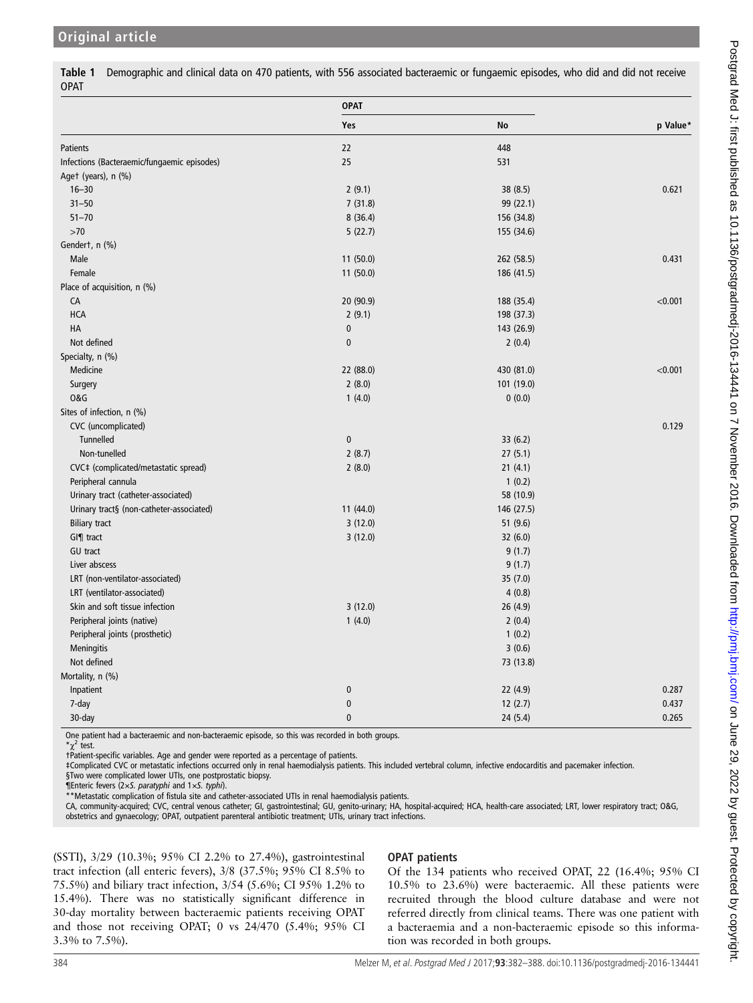<span id="page-2-0"></span>Table 1 Demographic and clinical data on 470 patients, with 556 associated bacteraemic or fungaemic episodes, who did and did not receive OPAT

| Yes<br>No<br>p Value*<br>22<br>448<br><b>Patients</b><br>Infections (Bacteraemic/fungaemic episodes)<br>25<br>531<br>Aget (years), n (%)<br>$16 - 30$<br>2(9.1)<br>38 (8.5)<br>0.621<br>$31 - 50$<br>7(31.8)<br>99 (22.1)<br>$51 - 70$<br>8(36.4)<br>156 (34.8)<br>$>70$<br>5(22.7)<br>155 (34.6)<br>Gendert, n (%)<br>Male<br>0.431<br>11(50.0)<br>262 (58.5)<br>Female<br>11(50.0)<br>186 (41.5)<br>Place of acquisition, n (%)<br>CA<br>20 (90.9)<br>188 (35.4)<br>< 0.001<br><b>HCA</b><br>2(9.1)<br>198 (37.3)<br>HA<br>$\pmb{0}$<br>143 (26.9)<br>Not defined<br>$\pmb{0}$<br>2(0.4)<br>Specialty, n (%)<br>Medicine<br>22 (88.0)<br>430 (81.0)<br>< 0.001<br>2(8.0)<br>101 (19.0)<br>Surgery<br><b>0&amp;G</b><br>1(4.0)<br>0(0.0)<br>Sites of infection, n (%)<br>CVC (uncomplicated)<br>0.129<br><b>Tunnelled</b><br>$\pmb{0}$<br>33(6.2)<br>Non-tunelled<br>2(8.7)<br>27(5.1)<br>CVC‡ (complicated/metastatic spread)<br>2(8.0)<br>21(4.1)<br>1(0.2)<br>Peripheral cannula<br>Urinary tract (catheter-associated)<br>58 (10.9)<br>Urinary tract§ (non-catheter-associated)<br>11(44.0)<br>146 (27.5)<br>3(12.0)<br>51 (9.6)<br><b>Biliary tract</b><br>GI¶ tract<br>3(12.0)<br>32(6.0)<br>GU tract<br>9(1.7)<br>9(1.7)<br>Liver abscess<br>LRT (non-ventilator-associated)<br>35 (7.0)<br>4(0.8)<br>LRT (ventilator-associated)<br>Skin and soft tissue infection<br>3(12.0)<br>26 (4.9)<br>Peripheral joints (native)<br>1(4.0)<br>2(0.4)<br>Peripheral joints (prosthetic)<br>1(0.2)<br><b>Meningitis</b><br>3(0.6)<br>Not defined<br>73 (13.8)<br>Mortality, n (%)<br>Inpatient<br>$\pmb{0}$<br>22 (4.9)<br>0.287<br>7-day<br>12(2.7)<br>0.437<br>$\mathbf{0}$<br>0 |           | <b>OPAT</b> |          |       |
|----------------------------------------------------------------------------------------------------------------------------------------------------------------------------------------------------------------------------------------------------------------------------------------------------------------------------------------------------------------------------------------------------------------------------------------------------------------------------------------------------------------------------------------------------------------------------------------------------------------------------------------------------------------------------------------------------------------------------------------------------------------------------------------------------------------------------------------------------------------------------------------------------------------------------------------------------------------------------------------------------------------------------------------------------------------------------------------------------------------------------------------------------------------------------------------------------------------------------------------------------------------------------------------------------------------------------------------------------------------------------------------------------------------------------------------------------------------------------------------------------------------------------------------------------------------------------------------------------------------------------------------------------------------------------------|-----------|-------------|----------|-------|
|                                                                                                                                                                                                                                                                                                                                                                                                                                                                                                                                                                                                                                                                                                                                                                                                                                                                                                                                                                                                                                                                                                                                                                                                                                                                                                                                                                                                                                                                                                                                                                                                                                                                                  |           |             |          |       |
|                                                                                                                                                                                                                                                                                                                                                                                                                                                                                                                                                                                                                                                                                                                                                                                                                                                                                                                                                                                                                                                                                                                                                                                                                                                                                                                                                                                                                                                                                                                                                                                                                                                                                  |           |             |          |       |
|                                                                                                                                                                                                                                                                                                                                                                                                                                                                                                                                                                                                                                                                                                                                                                                                                                                                                                                                                                                                                                                                                                                                                                                                                                                                                                                                                                                                                                                                                                                                                                                                                                                                                  |           |             |          |       |
|                                                                                                                                                                                                                                                                                                                                                                                                                                                                                                                                                                                                                                                                                                                                                                                                                                                                                                                                                                                                                                                                                                                                                                                                                                                                                                                                                                                                                                                                                                                                                                                                                                                                                  |           |             |          |       |
|                                                                                                                                                                                                                                                                                                                                                                                                                                                                                                                                                                                                                                                                                                                                                                                                                                                                                                                                                                                                                                                                                                                                                                                                                                                                                                                                                                                                                                                                                                                                                                                                                                                                                  |           |             |          |       |
|                                                                                                                                                                                                                                                                                                                                                                                                                                                                                                                                                                                                                                                                                                                                                                                                                                                                                                                                                                                                                                                                                                                                                                                                                                                                                                                                                                                                                                                                                                                                                                                                                                                                                  |           |             |          |       |
|                                                                                                                                                                                                                                                                                                                                                                                                                                                                                                                                                                                                                                                                                                                                                                                                                                                                                                                                                                                                                                                                                                                                                                                                                                                                                                                                                                                                                                                                                                                                                                                                                                                                                  |           |             |          |       |
|                                                                                                                                                                                                                                                                                                                                                                                                                                                                                                                                                                                                                                                                                                                                                                                                                                                                                                                                                                                                                                                                                                                                                                                                                                                                                                                                                                                                                                                                                                                                                                                                                                                                                  |           |             |          |       |
|                                                                                                                                                                                                                                                                                                                                                                                                                                                                                                                                                                                                                                                                                                                                                                                                                                                                                                                                                                                                                                                                                                                                                                                                                                                                                                                                                                                                                                                                                                                                                                                                                                                                                  |           |             |          |       |
|                                                                                                                                                                                                                                                                                                                                                                                                                                                                                                                                                                                                                                                                                                                                                                                                                                                                                                                                                                                                                                                                                                                                                                                                                                                                                                                                                                                                                                                                                                                                                                                                                                                                                  |           |             |          |       |
|                                                                                                                                                                                                                                                                                                                                                                                                                                                                                                                                                                                                                                                                                                                                                                                                                                                                                                                                                                                                                                                                                                                                                                                                                                                                                                                                                                                                                                                                                                                                                                                                                                                                                  |           |             |          |       |
|                                                                                                                                                                                                                                                                                                                                                                                                                                                                                                                                                                                                                                                                                                                                                                                                                                                                                                                                                                                                                                                                                                                                                                                                                                                                                                                                                                                                                                                                                                                                                                                                                                                                                  |           |             |          |       |
|                                                                                                                                                                                                                                                                                                                                                                                                                                                                                                                                                                                                                                                                                                                                                                                                                                                                                                                                                                                                                                                                                                                                                                                                                                                                                                                                                                                                                                                                                                                                                                                                                                                                                  |           |             |          |       |
|                                                                                                                                                                                                                                                                                                                                                                                                                                                                                                                                                                                                                                                                                                                                                                                                                                                                                                                                                                                                                                                                                                                                                                                                                                                                                                                                                                                                                                                                                                                                                                                                                                                                                  |           |             |          |       |
|                                                                                                                                                                                                                                                                                                                                                                                                                                                                                                                                                                                                                                                                                                                                                                                                                                                                                                                                                                                                                                                                                                                                                                                                                                                                                                                                                                                                                                                                                                                                                                                                                                                                                  |           |             |          |       |
|                                                                                                                                                                                                                                                                                                                                                                                                                                                                                                                                                                                                                                                                                                                                                                                                                                                                                                                                                                                                                                                                                                                                                                                                                                                                                                                                                                                                                                                                                                                                                                                                                                                                                  |           |             |          |       |
|                                                                                                                                                                                                                                                                                                                                                                                                                                                                                                                                                                                                                                                                                                                                                                                                                                                                                                                                                                                                                                                                                                                                                                                                                                                                                                                                                                                                                                                                                                                                                                                                                                                                                  |           |             |          |       |
|                                                                                                                                                                                                                                                                                                                                                                                                                                                                                                                                                                                                                                                                                                                                                                                                                                                                                                                                                                                                                                                                                                                                                                                                                                                                                                                                                                                                                                                                                                                                                                                                                                                                                  |           |             |          |       |
|                                                                                                                                                                                                                                                                                                                                                                                                                                                                                                                                                                                                                                                                                                                                                                                                                                                                                                                                                                                                                                                                                                                                                                                                                                                                                                                                                                                                                                                                                                                                                                                                                                                                                  |           |             |          |       |
|                                                                                                                                                                                                                                                                                                                                                                                                                                                                                                                                                                                                                                                                                                                                                                                                                                                                                                                                                                                                                                                                                                                                                                                                                                                                                                                                                                                                                                                                                                                                                                                                                                                                                  |           |             |          |       |
|                                                                                                                                                                                                                                                                                                                                                                                                                                                                                                                                                                                                                                                                                                                                                                                                                                                                                                                                                                                                                                                                                                                                                                                                                                                                                                                                                                                                                                                                                                                                                                                                                                                                                  |           |             |          |       |
|                                                                                                                                                                                                                                                                                                                                                                                                                                                                                                                                                                                                                                                                                                                                                                                                                                                                                                                                                                                                                                                                                                                                                                                                                                                                                                                                                                                                                                                                                                                                                                                                                                                                                  |           |             |          |       |
|                                                                                                                                                                                                                                                                                                                                                                                                                                                                                                                                                                                                                                                                                                                                                                                                                                                                                                                                                                                                                                                                                                                                                                                                                                                                                                                                                                                                                                                                                                                                                                                                                                                                                  |           |             |          |       |
|                                                                                                                                                                                                                                                                                                                                                                                                                                                                                                                                                                                                                                                                                                                                                                                                                                                                                                                                                                                                                                                                                                                                                                                                                                                                                                                                                                                                                                                                                                                                                                                                                                                                                  |           |             |          |       |
|                                                                                                                                                                                                                                                                                                                                                                                                                                                                                                                                                                                                                                                                                                                                                                                                                                                                                                                                                                                                                                                                                                                                                                                                                                                                                                                                                                                                                                                                                                                                                                                                                                                                                  |           |             |          |       |
|                                                                                                                                                                                                                                                                                                                                                                                                                                                                                                                                                                                                                                                                                                                                                                                                                                                                                                                                                                                                                                                                                                                                                                                                                                                                                                                                                                                                                                                                                                                                                                                                                                                                                  |           |             |          |       |
|                                                                                                                                                                                                                                                                                                                                                                                                                                                                                                                                                                                                                                                                                                                                                                                                                                                                                                                                                                                                                                                                                                                                                                                                                                                                                                                                                                                                                                                                                                                                                                                                                                                                                  |           |             |          |       |
|                                                                                                                                                                                                                                                                                                                                                                                                                                                                                                                                                                                                                                                                                                                                                                                                                                                                                                                                                                                                                                                                                                                                                                                                                                                                                                                                                                                                                                                                                                                                                                                                                                                                                  |           |             |          |       |
|                                                                                                                                                                                                                                                                                                                                                                                                                                                                                                                                                                                                                                                                                                                                                                                                                                                                                                                                                                                                                                                                                                                                                                                                                                                                                                                                                                                                                                                                                                                                                                                                                                                                                  |           |             |          |       |
|                                                                                                                                                                                                                                                                                                                                                                                                                                                                                                                                                                                                                                                                                                                                                                                                                                                                                                                                                                                                                                                                                                                                                                                                                                                                                                                                                                                                                                                                                                                                                                                                                                                                                  |           |             |          |       |
|                                                                                                                                                                                                                                                                                                                                                                                                                                                                                                                                                                                                                                                                                                                                                                                                                                                                                                                                                                                                                                                                                                                                                                                                                                                                                                                                                                                                                                                                                                                                                                                                                                                                                  |           |             |          |       |
|                                                                                                                                                                                                                                                                                                                                                                                                                                                                                                                                                                                                                                                                                                                                                                                                                                                                                                                                                                                                                                                                                                                                                                                                                                                                                                                                                                                                                                                                                                                                                                                                                                                                                  |           |             |          |       |
|                                                                                                                                                                                                                                                                                                                                                                                                                                                                                                                                                                                                                                                                                                                                                                                                                                                                                                                                                                                                                                                                                                                                                                                                                                                                                                                                                                                                                                                                                                                                                                                                                                                                                  |           |             |          |       |
|                                                                                                                                                                                                                                                                                                                                                                                                                                                                                                                                                                                                                                                                                                                                                                                                                                                                                                                                                                                                                                                                                                                                                                                                                                                                                                                                                                                                                                                                                                                                                                                                                                                                                  |           |             |          |       |
|                                                                                                                                                                                                                                                                                                                                                                                                                                                                                                                                                                                                                                                                                                                                                                                                                                                                                                                                                                                                                                                                                                                                                                                                                                                                                                                                                                                                                                                                                                                                                                                                                                                                                  |           |             |          |       |
|                                                                                                                                                                                                                                                                                                                                                                                                                                                                                                                                                                                                                                                                                                                                                                                                                                                                                                                                                                                                                                                                                                                                                                                                                                                                                                                                                                                                                                                                                                                                                                                                                                                                                  |           |             |          |       |
|                                                                                                                                                                                                                                                                                                                                                                                                                                                                                                                                                                                                                                                                                                                                                                                                                                                                                                                                                                                                                                                                                                                                                                                                                                                                                                                                                                                                                                                                                                                                                                                                                                                                                  |           |             |          |       |
|                                                                                                                                                                                                                                                                                                                                                                                                                                                                                                                                                                                                                                                                                                                                                                                                                                                                                                                                                                                                                                                                                                                                                                                                                                                                                                                                                                                                                                                                                                                                                                                                                                                                                  |           |             |          |       |
|                                                                                                                                                                                                                                                                                                                                                                                                                                                                                                                                                                                                                                                                                                                                                                                                                                                                                                                                                                                                                                                                                                                                                                                                                                                                                                                                                                                                                                                                                                                                                                                                                                                                                  |           |             |          |       |
|                                                                                                                                                                                                                                                                                                                                                                                                                                                                                                                                                                                                                                                                                                                                                                                                                                                                                                                                                                                                                                                                                                                                                                                                                                                                                                                                                                                                                                                                                                                                                                                                                                                                                  |           |             |          |       |
|                                                                                                                                                                                                                                                                                                                                                                                                                                                                                                                                                                                                                                                                                                                                                                                                                                                                                                                                                                                                                                                                                                                                                                                                                                                                                                                                                                                                                                                                                                                                                                                                                                                                                  |           |             |          |       |
|                                                                                                                                                                                                                                                                                                                                                                                                                                                                                                                                                                                                                                                                                                                                                                                                                                                                                                                                                                                                                                                                                                                                                                                                                                                                                                                                                                                                                                                                                                                                                                                                                                                                                  |           |             |          |       |
|                                                                                                                                                                                                                                                                                                                                                                                                                                                                                                                                                                                                                                                                                                                                                                                                                                                                                                                                                                                                                                                                                                                                                                                                                                                                                                                                                                                                                                                                                                                                                                                                                                                                                  | $30$ -day |             | 24 (5.4) | 0.265 |

One patient had a bacteraemic and non-bacteraemic episode, so this was recorded in both groups.

 $*_{\gamma^2}$  test.

†Patient-specific variables. Age and gender were reported as a percentage of patients.

‡Complicated CVC or metastatic infections occurred only in renal haemodialysis patients. This included vertebral column, infective endocarditis and pacemaker infection. §Two were complicated lower UTIs, one postprostatic biopsy.

Tenteric fevers  $(2\times S.$  paratyphi and  $1\times S.$  typhi).

\*\*Metastatic complication of fistula site and catheter-associated UTIs in renal haemodialysis patients.

CA, community-acquired; CVC, central venous catheter; GI, gastrointestinal; GU, genito-urinary; HA, hospital-acquired; HCA, health-care associated; LRT, lower respiratory tract; O&G,

obstetrics and gynaecology; OPAT, outpatient parenteral antibiotic treatment; UTIs, urinary tract infections.

(SSTI), 3/29 (10.3%; 95% CI 2.2% to 27.4%), gastrointestinal tract infection (all enteric fevers), 3/8 (37.5%; 95% CI 8.5% to 75.5%) and biliary tract infection, 3/54 (5.6%; CI 95% 1.2% to 15.4%). There was no statistically significant difference in 30-day mortality between bacteraemic patients receiving OPAT and those not receiving OPAT; 0 vs 24/470 (5.4%; 95% CI 3.3% to 7.5%).

#### OPAT patients

Of the 134 patients who received OPAT, 22 (16.4%; 95% CI 10.5% to 23.6%) were bacteraemic. All these patients were recruited through the blood culture database and were not referred directly from clinical teams. There was one patient with a bacteraemia and a non-bacteraemic episode so this information was recorded in both groups.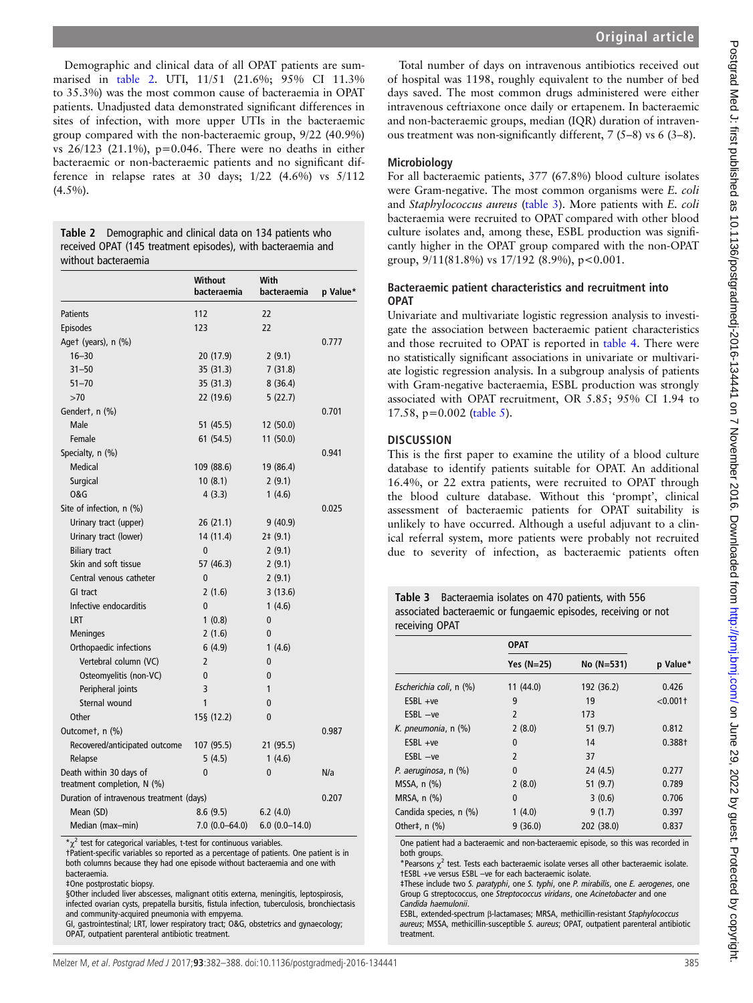Demographic and clinical data of all OPAT patients are summarised in table 2. UTI, 11/51 (21.6%; 95% CI 11.3% to 35.3%) was the most common cause of bacteraemia in OPAT patients. Unadjusted data demonstrated significant differences in sites of infection, with more upper UTIs in the bacteraemic group compared with the non-bacteraemic group, 9/22 (40.9%) vs  $26/123$  (21.1%),  $p=0.046$ . There were no deaths in either bacteraemic or non-bacteraemic patients and no significant difference in relapse rates at 30 days;  $1/22$  (4.6%) vs  $5/112$  $(4.5\%)$ .

Table 2 Demographic and clinical data on 134 patients who received OPAT (145 treatment episodes), with bacteraemia and without bacteraemia

|                                                        | Without<br>bacteraemia | With<br>bacteraemia | p Value* |
|--------------------------------------------------------|------------------------|---------------------|----------|
| <b>Patients</b>                                        | 112                    | 22                  |          |
| <b>Episodes</b>                                        | 123                    | 22                  |          |
| Aget (years), n (%)                                    |                        |                     | 0.777    |
| $16 - 30$                                              | 20 (17.9)              | 2(9.1)              |          |
| $31 - 50$                                              | 35 (31.3)              | 7(31.8)             |          |
| $51 - 70$                                              | 35 (31.3)              | 8(36.4)             |          |
| >70                                                    | 22 (19.6)              | 5(22.7)             |          |
| Gendert, n (%)                                         |                        |                     | 0.701    |
| Male                                                   | 51 (45.5)              | 12(50.0)            |          |
| Female                                                 | 61 (54.5)              | 11(50.0)            |          |
| Specialty, n (%)                                       |                        |                     | 0.941    |
| <b>Medical</b>                                         | 109 (88.6)             | 19 (86.4)           |          |
| Surgical                                               | 10(8.1)                | 2(9.1)              |          |
| 0&G                                                    | 4(3.3)                 | 1(4.6)              |          |
| Site of infection, n (%)                               |                        |                     | 0.025    |
| Urinary tract (upper)                                  | 26 (21.1)              | 9(40.9)             |          |
| Urinary tract (lower)                                  | 14 (11.4)              | $2 \pm (9.1)$       |          |
| <b>Biliary tract</b>                                   | $\mathbf{0}$           | 2(9.1)              |          |
| Skin and soft tissue                                   | 57 (46.3)              | 2(9.1)              |          |
| Central venous catheter                                | $\mathbf{0}$           | 2(9.1)              |          |
| GI tract                                               | 2(1.6)                 | 3(13.6)             |          |
| Infective endocarditis                                 | $\mathbf{0}$           | 1(4.6)              |          |
| LRT                                                    | 1(0.8)                 | 0                   |          |
| <b>Meninges</b>                                        | 2(1.6)                 | 0                   |          |
| Orthopaedic infections                                 | 6(4.9)                 | 1(4.6)              |          |
| Vertebral column (VC)                                  | $\overline{2}$         | $\mathbf 0$         |          |
| Osteomyelitis (non-VC)                                 | $\mathbf{0}$           | $\mathbf{0}$        |          |
| Peripheral joints                                      | 3                      | 1                   |          |
| Sternal wound                                          | 1                      | $\mathbf{0}$        |          |
| Other                                                  | 15§ (12.2)             | $\overline{0}$      |          |
| Outcomet, n (%)                                        |                        |                     | 0.987    |
| Recovered/anticipated outcome                          | 107 (95.5)             | 21 (95.5)           |          |
| Relapse                                                | 5(4.5)                 | 1(4.6)              |          |
| Death within 30 days of<br>treatment completion, N (%) | 0                      | $\mathbf 0$         | N/a      |
| Duration of intravenous treatment (days)               |                        |                     | 0.207    |
| Mean (SD)                                              | 8.6(9.5)               | 6.2(4.0)            |          |
| Median (max-min)                                       | $7.0$ (0.0-64.0)       | $6.0$ $(0.0-14.0)$  |          |

 $\chi^2$  test for categorical variables, t-test for continuous variables.

†Patient-specific variables so reported as a percentage of patients. One patient is in both columns because they had one episode without bacteraemia and one with bacteraemia.

‡One postprostatic biopsy.

§Other included liver abscesses, malignant otitis externa, meningitis, leptospirosis, infected ovarian cysts, prepatella bursitis, fistula infection, tuberculosis, bronchiectasis and community-acquired pneumonia with empyema.

GI, gastrointestinal; LRT, lower respiratory tract; O&G, obstetrics and gynaecology; OPAT, outpatient parenteral antibiotic treatment.

Total number of days on intravenous antibiotics received out of hospital was 1198, roughly equivalent to the number of bed days saved. The most common drugs administered were either intravenous ceftriaxone once daily or ertapenem. In bacteraemic and non-bacteraemic groups, median (IQR) duration of intravenous treatment was non-significantly different, 7 (5–8) vs 6 (3–8).

#### Microbiology

For all bacteraemic patients, 377 (67.8%) blood culture isolates were Gram-negative. The most common organisms were E. coli and Staphylococcus aureus (table 3). More patients with E. coli bacteraemia were recruited to OPAT compared with other blood culture isolates and, among these, ESBL production was significantly higher in the OPAT group compared with the non-OPAT group,  $9/11(81.8\%)$  vs  $17/192$  (8.9%), p<0.001.

#### Bacteraemic patient characteristics and recruitment into **OPAT**

Univariate and multivariate logistic regression analysis to investigate the association between bacteraemic patient characteristics and those recruited to OPAT is reported in [table 4.](#page-4-0) There were no statistically significant associations in univariate or multivariate logistic regression analysis. In a subgroup analysis of patients with Gram-negative bacteraemia, ESBL production was strongly associated with OPAT recruitment, OR 5.85; 95% CI 1.94 to 17.58, p=0.002 [\(table 5](#page-4-0)).

#### **DISCUSSION**

This is the first paper to examine the utility of a blood culture database to identify patients suitable for OPAT. An additional 16.4%, or 22 extra patients, were recruited to OPAT through the blood culture database. Without this 'prompt', clinical assessment of bacteraemic patients for OPAT suitability is unlikely to have occurred. Although a useful adjuvant to a clinical referral system, more patients were probably not recruited due to severity of infection, as bacteraemic patients often

Table 3 Bacteraemia isolates on 470 patients, with 556 associated bacteraemic or fungaemic episodes, receiving or not receiving OPAT

|                         | <b>OPAT</b>    |            |             |  |
|-------------------------|----------------|------------|-------------|--|
|                         | Yes $(N=25)$   | No (N=531) | p Value*    |  |
| Escherichia coli, n (%) | 11(44.0)       | 192 (36.2) | 0.426       |  |
| $ESBL +ve$              | 9              | 19         | $< 0.001$ † |  |
| $ESBL -ve$              | $\overline{2}$ | 173        |             |  |
| K. pneumonia, n (%)     | 2(8.0)         | 51(9.7)    | 0.812       |  |
| $ESBL +ve$              | $\mathbf{0}$   | 14         | 0.388†      |  |
| $ESBL -ve$              | $\overline{2}$ | 37         |             |  |
| P. aeruginosa, n (%)    | $\mathbf{0}$   | 24 (4.5)   | 0.277       |  |
| $MSSA, n$ $(\%)$        | 2(8.0)         | 51(9.7)    | 0.789       |  |
| MRSA, $n$ $(\%)$        | 0              | 3(0.6)     | 0.706       |  |
| Candida species, n (%)  | 1(4.0)         | 9(1.7)     | 0.397       |  |
| Other‡, $n$ (%)         | 9(36.0)        | 202 (38.0) | 0.837       |  |

One patient had a bacteraemic and non-bacteraemic episode, so this was recorded in both groups

\*Pearsons  $\chi^2$  test. Tests each bacteraemic isolate verses all other bacteraemic isolate. †ESBL +ve versus ESBL –ve for each bacteraemic isolate.

‡These include two S. paratyphi, one S. typhi, one P. mirabilis, one E. aerogenes, one Group G streptococcus, one Streptococcus viridans, one Acinetobacter and one Candida haemulonii.

ESBL, extended-spectrum β-lactamases; MRSA, methicillin-resistant Staphylococcus aureus; MSSA, methicillin-susceptible S. aureus; OPAT, outpatient parenteral antibiotic treatment.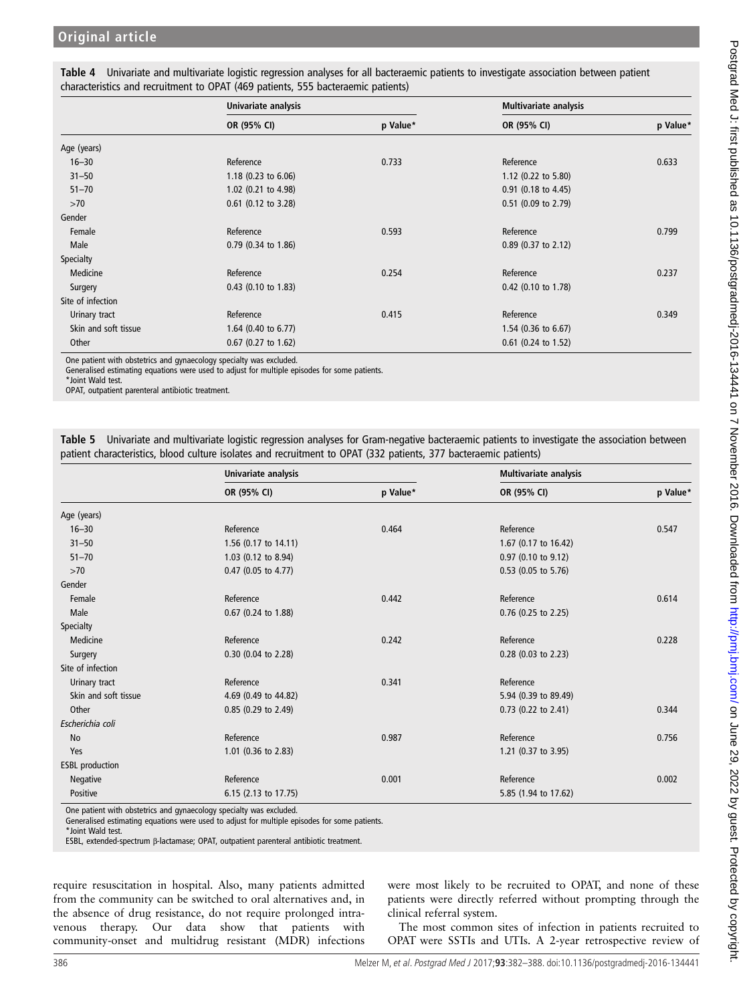|                      | Univariate analysis            |          | <b>Multivariate analysis</b>   |          |
|----------------------|--------------------------------|----------|--------------------------------|----------|
|                      | OR (95% CI)                    | p Value* | OR (95% CI)                    | p Value* |
| Age (years)          |                                |          |                                |          |
| $16 - 30$            | Reference                      | 0.733    | Reference                      | 0.633    |
| $31 - 50$            | 1.18 $(0.23 \text{ to } 6.06)$ |          | 1.12 (0.22 to 5.80)            |          |
| $51 - 70$            | 1.02 (0.21 to 4.98)            |          | $0.91$ (0.18 to 4.45)          |          |
| >70                  | $0.61$ (0.12 to 3.28)          |          | $0.51$ (0.09 to 2.79)          |          |
| Gender               |                                |          |                                |          |
| Female               | Reference                      | 0.593    | Reference                      | 0.799    |
| Male                 | 0.79 (0.34 to 1.86)            |          | $0.89$ (0.37 to 2.12)          |          |
| <b>Specialty</b>     |                                |          |                                |          |
| Medicine             | Reference                      | 0.254    | Reference                      | 0.237    |
| Surgery              | $0.43$ (0.10 to 1.83)          |          | 0.42 (0.10 to 1.78)            |          |
| Site of infection    |                                |          |                                |          |
| Urinary tract        | Reference                      | 0.415    | Reference                      | 0.349    |
| Skin and soft tissue | 1.64 (0.40 to 6.77)            |          | 1.54 $(0.36 \text{ to } 6.67)$ |          |
| Other                | $0.67$ (0.27 to 1.62)          |          | $0.61$ (0.24 to 1.52)          |          |

<span id="page-4-0"></span>Table 4 Univariate and multivariate logistic regression analyses for all bacteraemic patients to investigate association between patient characteristics and recruitment to OPAT (469 patients, 555 bacteraemic patients)

One patient with obstetrics and gynaecology specialty was excluded.

Generalised estimating equations were used to adjust for multiple episodes for some patients.

OPAT, outpatient parenteral antibiotic treatment.

| Table 5 Univariate and multivariate logistic regression analyses for Gram-negative bacteraemic patients to investigate the association between |  |  |  |
|------------------------------------------------------------------------------------------------------------------------------------------------|--|--|--|
| patient characteristics, blood culture isolates and recruitment to OPAT (332 patients, 377 bacteraemic patients)                               |  |  |  |

|                        | Univariate analysis            |          | <b>Multivariate analysis</b> |          |
|------------------------|--------------------------------|----------|------------------------------|----------|
|                        | OR (95% CI)                    | p Value* | OR (95% CI)                  | p Value* |
| Age (years)            |                                |          |                              |          |
| $16 - 30$              | Reference                      | 0.464    | Reference                    | 0.547    |
| $31 - 50$              | 1.56 (0.17 to 14.11)           |          | 1.67 (0.17 to 16.42)         |          |
| $51 - 70$              | 1.03 (0.12 to 8.94)            |          | 0.97 (0.10 to 9.12)          |          |
| $>70$                  | $0.47$ (0.05 to 4.77)          |          | $0.53$ (0.05 to 5.76)        |          |
| Gender                 |                                |          |                              |          |
| Female                 | Reference                      | 0.442    | Reference                    | 0.614    |
| Male                   | 0.67 (0.24 to 1.88)            |          | $0.76$ (0.25 to 2.25)        |          |
| Specialty              |                                |          |                              |          |
| Medicine               | Reference                      | 0.242    | Reference                    | 0.228    |
| Surgery                | 0.30 (0.04 to 2.28)            |          | $0.28$ (0.03 to 2.23)        |          |
| Site of infection      |                                |          |                              |          |
| Urinary tract          | Reference                      | 0.341    | Reference                    |          |
| Skin and soft tissue   | 4.69 (0.49 to 44.82)           |          | 5.94 (0.39 to 89.49)         |          |
| Other                  | 0.85 (0.29 to 2.49)            |          | 0.73 (0.22 to 2.41)          | 0.344    |
| Escherichia coli       |                                |          |                              |          |
| <b>No</b>              | Reference                      | 0.987    | Reference                    | 0.756    |
| Yes                    | 1.01 $(0.36 \text{ to } 2.83)$ |          | 1.21 (0.37 to 3.95)          |          |
| <b>ESBL</b> production |                                |          |                              |          |
| Negative               | Reference                      | 0.001    | Reference                    | 0.002    |
| Positive               | 6.15 (2.13 to 17.75)           |          | 5.85 (1.94 to 17.62)         |          |

One patient with obstetrics and gynaecology specialty was excluded.

Generalised estimating equations were used to adjust for multiple episodes for some patients. \*Joint Wald test.

ESBL, extended-spectrum β-lactamase; OPAT, outpatient parenteral antibiotic treatment.

require resuscitation in hospital. Also, many patients admitted from the community can be switched to oral alternatives and, in the absence of drug resistance, do not require prolonged intravenous therapy. Our data show that patients with community-onset and multidrug resistant (MDR) infections

were most likely to be recruited to OPAT, and none of these patients were directly referred without prompting through the clinical referral system.

The most common sites of infection in patients recruited to OPAT were SSTIs and UTIs. A 2-year retrospective review of

<sup>\*</sup>Joint Wald test.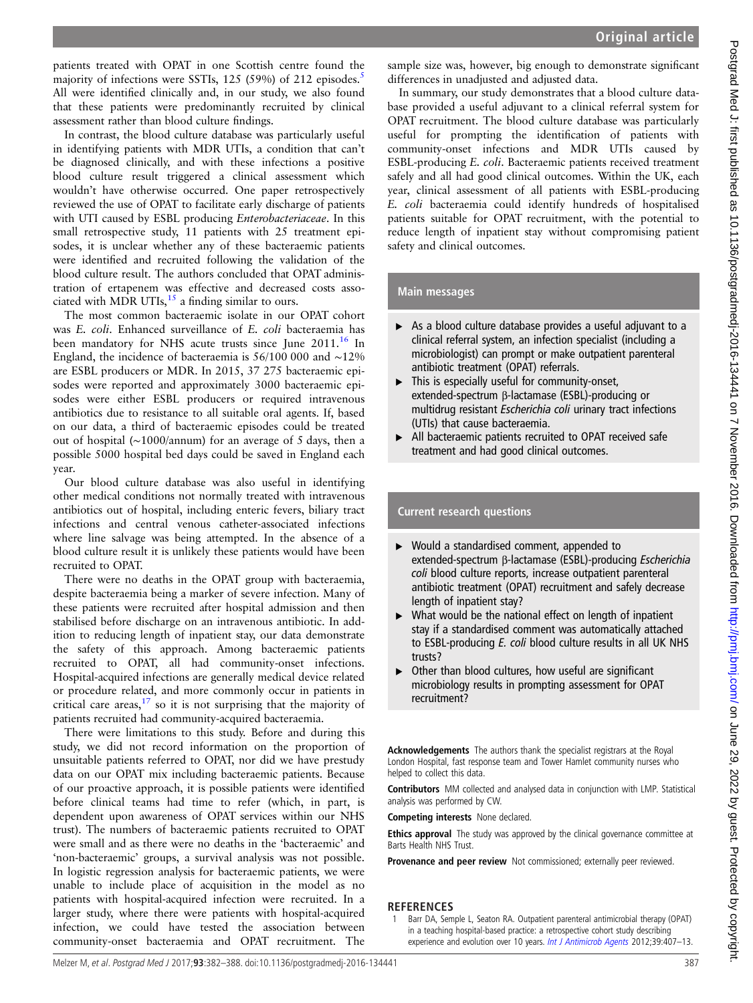<span id="page-5-0"></span>patients treated with OPAT in one Scottish centre found the majority of infections were SSTIs, 12[5](#page-6-0) (59%) of 212 episodes.<sup>5</sup> All were identified clinically and, in our study, we also found that these patients were predominantly recruited by clinical assessment rather than blood culture findings.

In contrast, the blood culture database was particularly useful in identifying patients with MDR UTIs, a condition that can't be diagnosed clinically, and with these infections a positive blood culture result triggered a clinical assessment which wouldn't have otherwise occurred. One paper retrospectively reviewed the use of OPAT to facilitate early discharge of patients with UTI caused by ESBL producing Enterobacteriaceae. In this small retrospective study, 11 patients with 25 treatment episodes, it is unclear whether any of these bacteraemic patients were identified and recruited following the validation of the blood culture result. The authors concluded that OPAT administration of ertapenem was effective and decreased costs associated with MDR UTIs, $^{15}$  $^{15}$  $^{15}$  a finding similar to ours.

The most common bacteraemic isolate in our OPAT cohort was E. coli. Enhanced surveillance of E. coli bacteraemia has been mandatory for NHS acute trusts since June  $2011$ .<sup>16</sup> In England, the incidence of bacteraemia is 56/100 000 and ∼12% are ESBL producers or MDR. In 2015, 37 275 bacteraemic episodes were reported and approximately 3000 bacteraemic episodes were either ESBL producers or required intravenous antibiotics due to resistance to all suitable oral agents. If, based on our data, a third of bacteraemic episodes could be treated out of hospital (∼1000/annum) for an average of 5 days, then a possible 5000 hospital bed days could be saved in England each year.

Our blood culture database was also useful in identifying other medical conditions not normally treated with intravenous antibiotics out of hospital, including enteric fevers, biliary tract infections and central venous catheter-associated infections where line salvage was being attempted. In the absence of a blood culture result it is unlikely these patients would have been recruited to OPAT.

There were no deaths in the OPAT group with bacteraemia, despite bacteraemia being a marker of severe infection. Many of these patients were recruited after hospital admission and then stabilised before discharge on an intravenous antibiotic. In addition to reducing length of inpatient stay, our data demonstrate the safety of this approach. Among bacteraemic patients recruited to OPAT, all had community-onset infections. Hospital-acquired infections are generally medical device related or procedure related, and more commonly occur in patients in critical care areas, $17$  so it is not surprising that the majority of patients recruited had community-acquired bacteraemia.

There were limitations to this study. Before and during this study, we did not record information on the proportion of unsuitable patients referred to OPAT, nor did we have prestudy data on our OPAT mix including bacteraemic patients. Because of our proactive approach, it is possible patients were identified before clinical teams had time to refer (which, in part, is dependent upon awareness of OPAT services within our NHS trust). The numbers of bacteraemic patients recruited to OPAT were small and as there were no deaths in the 'bacteraemic' and 'non-bacteraemic' groups, a survival analysis was not possible. In logistic regression analysis for bacteraemic patients, we were unable to include place of acquisition in the model as no patients with hospital-acquired infection were recruited. In a larger study, where there were patients with hospital-acquired infection, we could have tested the association between community-onset bacteraemia and OPAT recruitment. The

sample size was, however, big enough to demonstrate significant differences in unadjusted and adjusted data.

In summary, our study demonstrates that a blood culture database provided a useful adjuvant to a clinical referral system for OPAT recruitment. The blood culture database was particularly useful for prompting the identification of patients with community-onset infections and MDR UTIs caused by ESBL-producing E. coli. Bacteraemic patients received treatment safely and all had good clinical outcomes. Within the UK, each year, clinical assessment of all patients with ESBL-producing E. coli bacteraemia could identify hundreds of hospitalised patients suitable for OPAT recruitment, with the potential to reduce length of inpatient stay without compromising patient safety and clinical outcomes.

### Main messages

- ▶ As a blood culture database provides a useful adjuvant to a clinical referral system, an infection specialist (including a microbiologist) can prompt or make outpatient parenteral antibiotic treatment (OPAT) referrals.
- $\blacktriangleright$  This is especially useful for community-onset, extended-spectrum β-lactamase (ESBL)-producing or multidrug resistant Escherichia coli urinary tract infections (UTIs) that cause bacteraemia.
- All bacteraemic patients recruited to OPAT received safe treatment and had good clinical outcomes.

## Current research questions

- ▸ Would a standardised comment, appended to extended-spectrum β-lactamase (ESBL)-producing Escherichia coli blood culture reports, increase outpatient parenteral antibiotic treatment (OPAT) recruitment and safely decrease length of inpatient stay?
- $\triangleright$  What would be the national effect on length of inpatient stay if a standardised comment was automatically attached to ESBL-producing E. coli blood culture results in all UK NHS trusts?
- Other than blood cultures, how useful are significant microbiology results in prompting assessment for OPAT recruitment?

Acknowledgements The authors thank the specialist registrars at the Royal London Hospital, fast response team and Tower Hamlet community nurses who helped to collect this data.

Contributors MM collected and analysed data in conjunction with LMP. Statistical analysis was performed by CW.

Competing interests None declared.

Ethics approval The study was approved by the clinical governance committee at Barts Health NHS Trust.

Provenance and peer review Not commissioned; externally peer reviewed.

#### REFERENCES

Barr DA, Semple L, Seaton RA. Outpatient parenteral antimicrobial therapy (OPAT) in a teaching hospital-based practice: a retrospective cohort study describing experience and evolution over 10 years. [Int J Antimicrob Agents](http://dx.doi.org/10.1016/j.ijantimicag.2012.01.016) 2012;39:407-13.